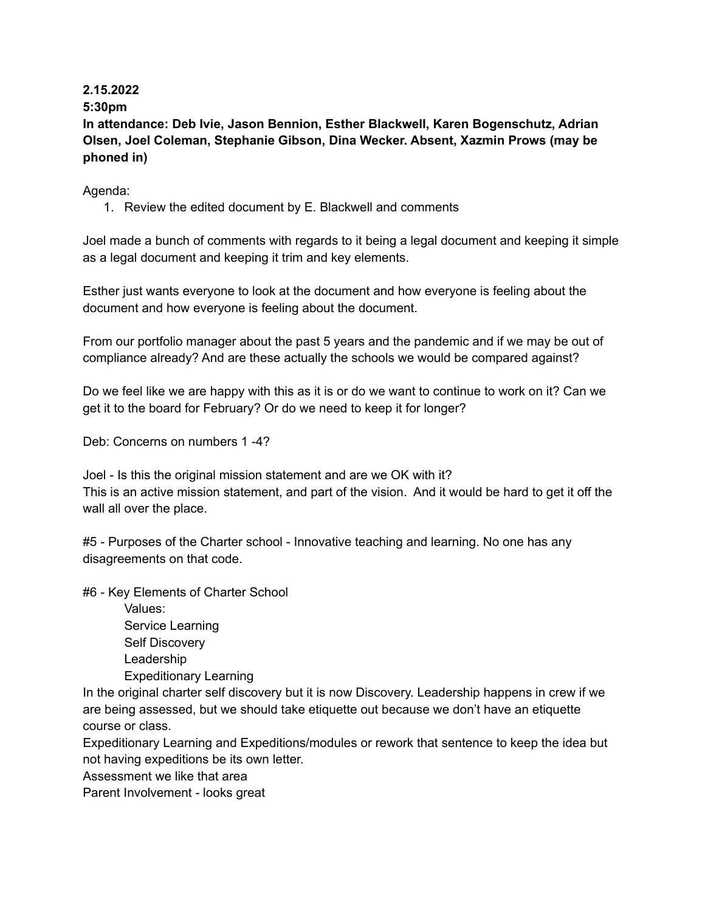# **2.15.2022**

## **5:30pm**

**In attendance: Deb Ivie, Jason Bennion, Esther Blackwell, Karen Bogenschutz, Adrian Olsen, Joel Coleman, Stephanie Gibson, Dina Wecker. Absent, Xazmin Prows (may be phoned in)**

### Agenda:

1. Review the edited document by E. Blackwell and comments

Joel made a bunch of comments with regards to it being a legal document and keeping it simple as a legal document and keeping it trim and key elements.

Esther just wants everyone to look at the document and how everyone is feeling about the document and how everyone is feeling about the document.

From our portfolio manager about the past 5 years and the pandemic and if we may be out of compliance already? And are these actually the schools we would be compared against?

Do we feel like we are happy with this as it is or do we want to continue to work on it? Can we get it to the board for February? Or do we need to keep it for longer?

Deb: Concerns on numbers 1 -4?

Joel - Is this the original mission statement and are we OK with it? This is an active mission statement, and part of the vision. And it would be hard to get it off the wall all over the place.

#5 - Purposes of the Charter school - Innovative teaching and learning. No one has any disagreements on that code.

#6 - Key Elements of Charter School

Values: Service Learning Self Discovery Leadership Expeditionary Learning

In the original charter self discovery but it is now Discovery. Leadership happens in crew if we are being assessed, but we should take etiquette out because we don't have an etiquette course or class.

Expeditionary Learning and Expeditions/modules or rework that sentence to keep the idea but not having expeditions be its own letter.

Assessment we like that area

Parent Involvement - looks great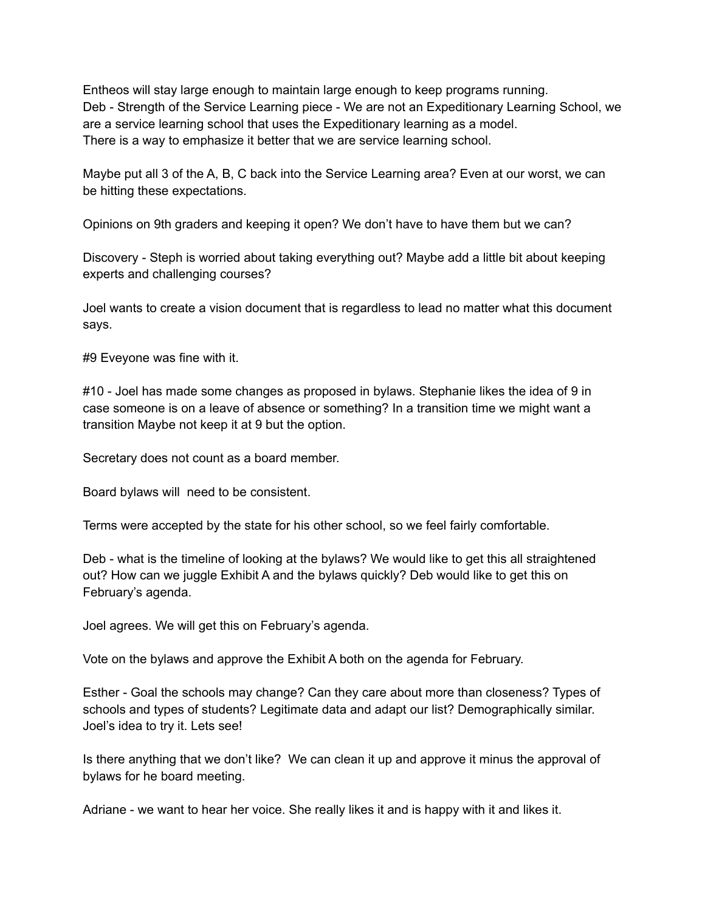Entheos will stay large enough to maintain large enough to keep programs running. Deb - Strength of the Service Learning piece - We are not an Expeditionary Learning School, we are a service learning school that uses the Expeditionary learning as a model. There is a way to emphasize it better that we are service learning school.

Maybe put all 3 of the A, B, C back into the Service Learning area? Even at our worst, we can be hitting these expectations.

Opinions on 9th graders and keeping it open? We don't have to have them but we can?

Discovery - Steph is worried about taking everything out? Maybe add a little bit about keeping experts and challenging courses?

Joel wants to create a vision document that is regardless to lead no matter what this document says.

#9 Eveyone was fine with it.

#10 - Joel has made some changes as proposed in bylaws. Stephanie likes the idea of 9 in case someone is on a leave of absence or something? In a transition time we might want a transition Maybe not keep it at 9 but the option.

Secretary does not count as a board member.

Board bylaws will need to be consistent.

Terms were accepted by the state for his other school, so we feel fairly comfortable.

Deb - what is the timeline of looking at the bylaws? We would like to get this all straightened out? How can we juggle Exhibit A and the bylaws quickly? Deb would like to get this on February's agenda.

Joel agrees. We will get this on February's agenda.

Vote on the bylaws and approve the Exhibit A both on the agenda for February.

Esther - Goal the schools may change? Can they care about more than closeness? Types of schools and types of students? Legitimate data and adapt our list? Demographically similar. Joel's idea to try it. Lets see!

Is there anything that we don't like? We can clean it up and approve it minus the approval of bylaws for he board meeting.

Adriane - we want to hear her voice. She really likes it and is happy with it and likes it.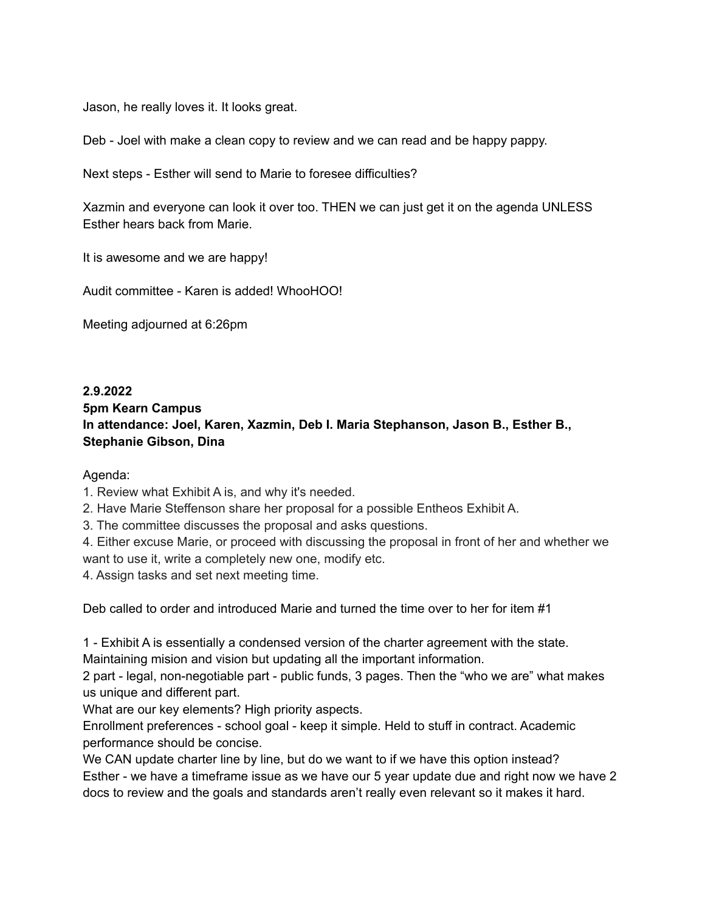Jason, he really loves it. It looks great.

Deb - Joel with make a clean copy to review and we can read and be happy pappy.

Next steps - Esther will send to Marie to foresee difficulties?

Xazmin and everyone can look it over too. THEN we can just get it on the agenda UNLESS Esther hears back from Marie.

It is awesome and we are happy!

Audit committee - Karen is added! WhooHOO!

Meeting adjourned at 6:26pm

# **2.9.2022 5pm Kearn Campus In attendance: Joel, Karen, Xazmin, Deb I. Maria Stephanson, Jason B., Esther B., Stephanie Gibson, Dina**

Agenda:

1. Review what Exhibit A is, and why it's needed.

2. Have Marie Steffenson share her proposal for a possible Entheos Exhibit A.

3. The committee discusses the proposal and asks questions.

4. Either excuse Marie, or proceed with discussing the proposal in front of her and whether we want to use it, write a completely new one, modify etc.

4. Assign tasks and set next meeting time.

Deb called to order and introduced Marie and turned the time over to her for item #1

1 - Exhibit A is essentially a condensed version of the charter agreement with the state. Maintaining mision and vision but updating all the important information.

2 part - legal, non-negotiable part - public funds, 3 pages. Then the "who we are" what makes us unique and different part.

What are our key elements? High priority aspects.

Enrollment preferences - school goal - keep it simple. Held to stuff in contract. Academic performance should be concise.

We CAN update charter line by line, but do we want to if we have this option instead? Esther - we have a timeframe issue as we have our 5 year update due and right now we have 2 docs to review and the goals and standards aren't really even relevant so it makes it hard.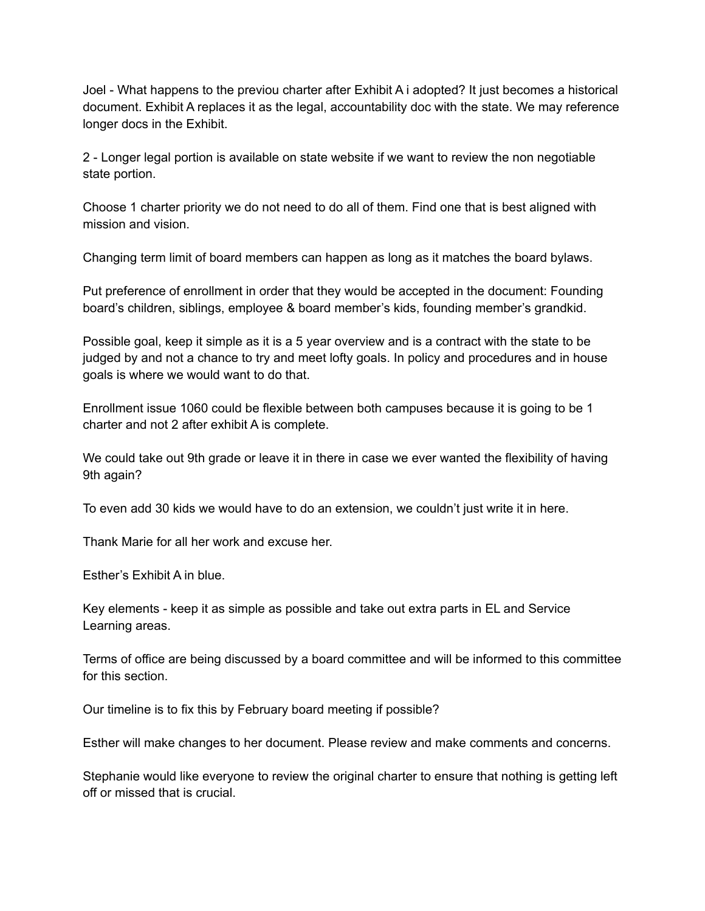Joel - What happens to the previou charter after Exhibit A i adopted? It just becomes a historical document. Exhibit A replaces it as the legal, accountability doc with the state. We may reference longer docs in the Exhibit.

2 - Longer legal portion is available on state website if we want to review the non negotiable state portion.

Choose 1 charter priority we do not need to do all of them. Find one that is best aligned with mission and vision.

Changing term limit of board members can happen as long as it matches the board bylaws.

Put preference of enrollment in order that they would be accepted in the document: Founding board's children, siblings, employee & board member's kids, founding member's grandkid.

Possible goal, keep it simple as it is a 5 year overview and is a contract with the state to be judged by and not a chance to try and meet lofty goals. In policy and procedures and in house goals is where we would want to do that.

Enrollment issue 1060 could be flexible between both campuses because it is going to be 1 charter and not 2 after exhibit A is complete.

We could take out 9th grade or leave it in there in case we ever wanted the flexibility of having 9th again?

To even add 30 kids we would have to do an extension, we couldn't just write it in here.

Thank Marie for all her work and excuse her.

Esther's Exhibit A in blue.

Key elements - keep it as simple as possible and take out extra parts in EL and Service Learning areas.

Terms of office are being discussed by a board committee and will be informed to this committee for this section.

Our timeline is to fix this by February board meeting if possible?

Esther will make changes to her document. Please review and make comments and concerns.

Stephanie would like everyone to review the original charter to ensure that nothing is getting left off or missed that is crucial.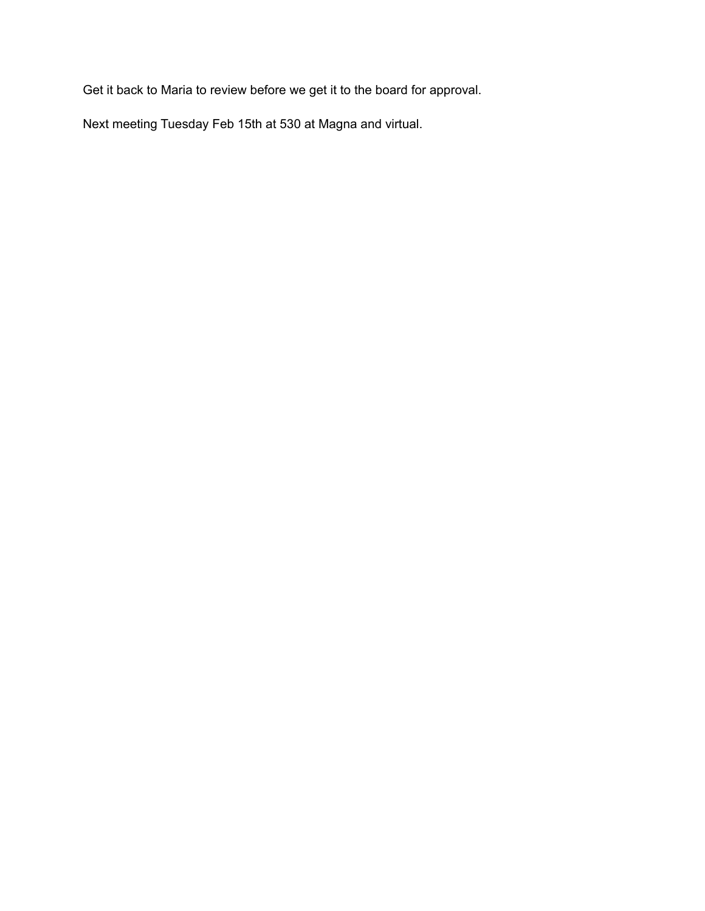Get it back to Maria to review before we get it to the board for approval.

Next meeting Tuesday Feb 15th at 530 at Magna and virtual.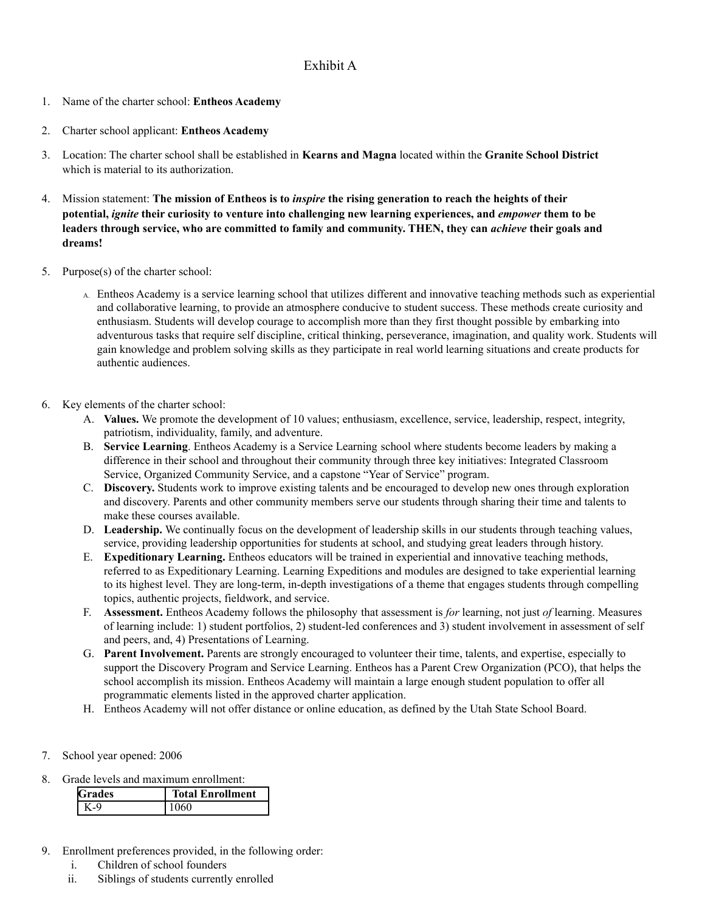#### Exhibit A

- 1. Name of the charter school: **Entheos Academy**
- 2. Charter school applicant: **Entheos Academy**
- 3. Location: The charter school shall be established in **Kearns and Magna** located within the **Granite School District** which is material to its authorization.
- 4. Mission statement: **The mission of Entheos is to** *inspire* **the rising generation to reach the heights of their potential,** *ignite* **their curiosity to venture into challenging new learning experiences, and** *empower* **them to be** leaders through service, who are committed to family and community. THEN, they can *achieve* their goals and **dreams!**
- 5. Purpose(s) of the charter school:
	- A. Entheos Academy is a service learning school that utilizes different and innovative teaching methods such as experiential and collaborative learning, to provide an atmosphere conducive to student success. These methods create curiosity and enthusiasm. Students will develop courage to accomplish more than they first thought possible by embarking into adventurous tasks that require self discipline, critical thinking, perseverance, imagination, and quality work. Students will gain knowledge and problem solving skills as they participate in real world learning situations and create products for authentic audiences.
- 6. Key elements of the charter school:
	- A. **Values.** We promote the development of 10 values; enthusiasm, excellence, service, leadership, respect, integrity, patriotism, individuality, family, and adventure.
	- B. **Service Learning**. Entheos Academy is a Service Learning school where students become leaders by making a difference in their school and throughout their community through three key initiatives: Integrated Classroom Service, Organized Community Service, and a capstone "Year of Service" program.
	- C. **Discovery.** Students work to improve existing talents and be encouraged to develop new ones through exploration and discovery. Parents and other community members serve our students through sharing their time and talents to make these courses available.
	- D. **Leadership.** We continually focus on the development of leadership skills in our students through teaching values, service, providing leadership opportunities for students at school, and studying great leaders through history.
	- E. **Expeditionary Learning.** Entheos educators will be trained in experiential and innovative teaching methods, referred to as Expeditionary Learning. Learning Expeditions and modules are designed to take experiential learning to its highest level. They are long-term, in-depth investigations of a theme that engages students through compelling topics, authentic projects, fieldwork, and service.
	- F. **Assessment.** Entheos Academy follows the philosophy that assessment is *for* learning, not just *of* learning. Measures of learning include: 1) student portfolios, 2) student-led conferences and 3) student involvement in assessment of self and peers, and, 4) Presentations of Learning.
	- G. **Parent Involvement.** Parents are strongly encouraged to volunteer their time, talents, and expertise, especially to support the Discovery Program and Service Learning. Entheos has a Parent Crew Organization (PCO), that helps the school accomplish its mission. Entheos Academy will maintain a large enough student population to offer all programmatic elements listed in the approved charter application.
	- H. Entheos Academy will not offer distance or online education, as defined by the Utah State School Board.
- 7. School year opened: 2006
- 8. Grade levels and maximum enrollment:

| Grades | <b>Total Enrollment</b> |
|--------|-------------------------|
|        | )60                     |

- 9. Enrollment preferences provided, in the following order:
	- i. Children of school founders
	- ii. Siblings of students currently enrolled